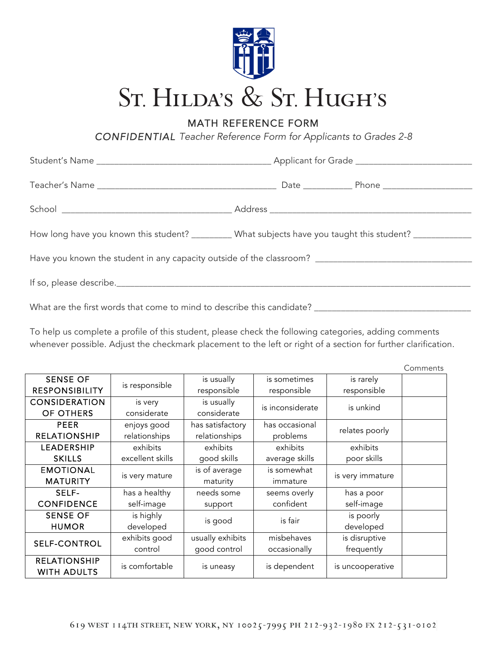

MATH REFERENCE FORM

*CONFIDENTIAL Teacher Reference Form for Applicants to Grades 2-8*

|  | How long have you known this student? _________ What subjects have you taught this student? _____________ |  |  |  |  |  |  |
|--|-----------------------------------------------------------------------------------------------------------|--|--|--|--|--|--|
|  |                                                                                                           |  |  |  |  |  |  |
|  |                                                                                                           |  |  |  |  |  |  |
|  |                                                                                                           |  |  |  |  |  |  |

To help us complete a profile of this student, please check the following categories, adding comments whenever possible. Adjust the checkmark placement to the left or right of a section for further clarification.

|                                           |                  |                  |                  |                  | Comments |
|-------------------------------------------|------------------|------------------|------------------|------------------|----------|
| <b>SENSE OF</b>                           | is responsible   | is usually       | is sometimes     | is rarely        |          |
| <b>RESPONSIBILITY</b>                     |                  | responsible      | responsible      | responsible      |          |
| <b>CONSIDERATION</b>                      | is very          | is usually       | is inconsiderate | is unkind        |          |
| OF OTHERS                                 | considerate      | considerate      |                  |                  |          |
| <b>PEER</b>                               | enjoys good      | has satisfactory | has occasional   |                  |          |
| <b>RELATIONSHIP</b>                       | relationships    | relationships    | problems         | relates poorly   |          |
| LEADERSHIP                                | exhibits         | exhibits         | exhibits         | exhibits         |          |
| <b>SKILLS</b>                             | excellent skills | good skills      | average skills   | poor skills      |          |
| <b>EMOTIONAL</b>                          |                  | is of average    | is somewhat      | is very immature |          |
| <b>MATURITY</b>                           | is very mature   | maturity         | immature         |                  |          |
| SELF-                                     | has a healthy    | needs some       | seems overly     | has a poor       |          |
| <b>CONFIDENCE</b>                         | self-image       | support          | confident        | self-image       |          |
| <b>SENSE OF</b>                           | is highly        |                  | is fair          | is poorly        |          |
| <b>HUMOR</b>                              | developed        | is good          |                  | developed        |          |
| <b>SELF-CONTROL</b>                       | exhibits good    | usually exhibits | misbehaves       | is disruptive    |          |
|                                           | control          | good control     | occasionally     | frequently       |          |
| <b>RELATIONSHIP</b><br><b>WITH ADULTS</b> | is comfortable   | is uneasy        | is dependent     | is uncooperative |          |